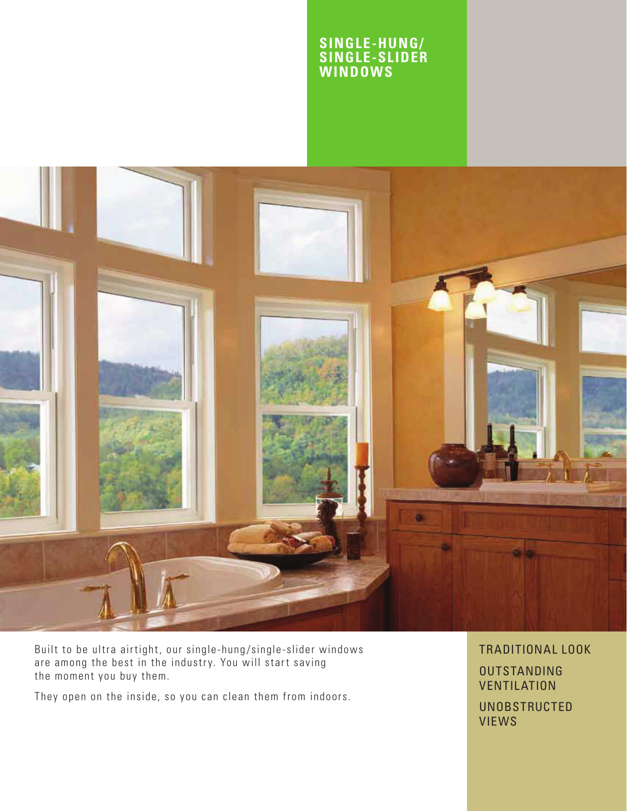### **SINGLE-HUNG/ SINGLE-SLIDER WINDOWS**



Built to be ultra airtight, our single-hung/single-slider windows are among the best in the industry. You will start saving the moment you buy them.

They open on the inside, so you can clean them from indoors.

TRADITIONAL LOOK

**OUTSTANDING VENTILATION** 

UNOBSTRUCTED VIEWS